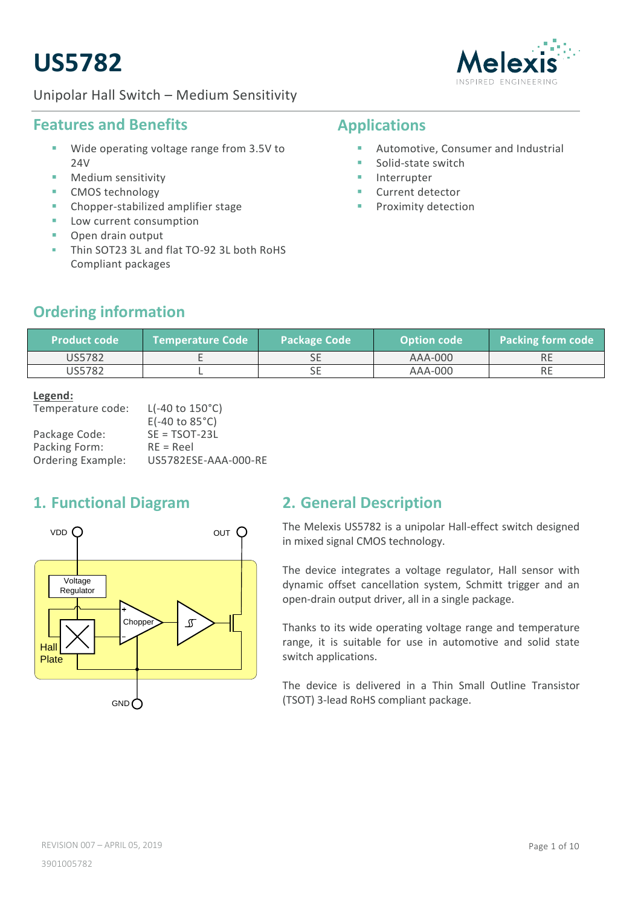# **US5782**





#### **Features and Benefits**

- Wide operating voltage range from 3.5V to 24V
- Medium sensitivity
- **CMOS** technology
- **EXP** Chopper-stabilized amplifier stage
- Low current consumption
- Open drain output
- Thin SOT23 3L and flat TO-92 3L both RoHS Compliant packages

# **Applications**

- **Automotive, Consumer and Industrial**
- **Solid-state switch**
- **Interrupter**
- **Current detector**
- Proximity detection

# **Ordering information**

| <b>Product code</b> | <b>NTemperature Code</b> | Package Code | <b>Option code</b> | <b>Packing form code</b> |
|---------------------|--------------------------|--------------|--------------------|--------------------------|
| US5782              |                          | ᇰᆫ           | AAA-000            | .                        |
| US5782              |                          | ◡            | AAA-000            | NC                       |

#### **Legend:**

| $L(-40 \text{ to } 150^{\circ}\text{C})$ |
|------------------------------------------|
| $E(-40 \text{ to } 85^{\circ}\text{C})$  |
| $SE = TSOT-23L$                          |
| $RE = Reel$                              |
| US5782ESE-AAA-000-RE                     |
|                                          |

### <span id="page-0-0"></span>**1. Functional Diagram**



### <span id="page-0-1"></span>**2. General Description**

The Melexis US5782 is a unipolar Hall-effect switch designed in mixed signal CMOS technology.

The device integrates a voltage regulator, Hall sensor with dynamic offset cancellation system, Schmitt trigger and an open-drain output driver, all in a single package.

Thanks to its wide operating voltage range and temperature range, it is suitable for use in automotive and solid state switch applications.

The device is delivered in a Thin Small Outline Transistor (TSOT) 3-lead RoHS compliant package.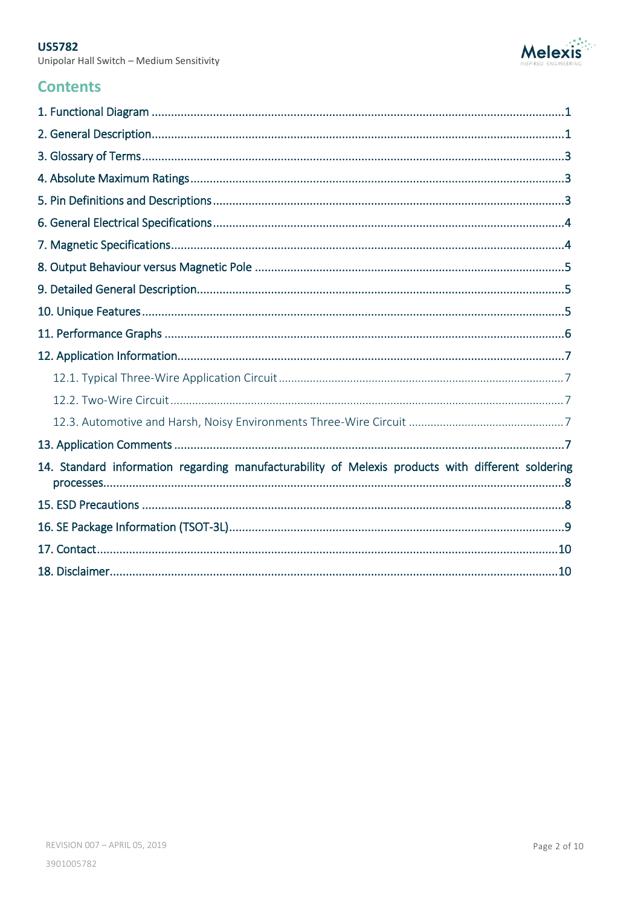Unipolar Hall Switch - Medium Sensitivity



### **Contents**

| 14. Standard information regarding manufacturability of Melexis products with different soldering |
|---------------------------------------------------------------------------------------------------|
|                                                                                                   |
|                                                                                                   |
|                                                                                                   |
|                                                                                                   |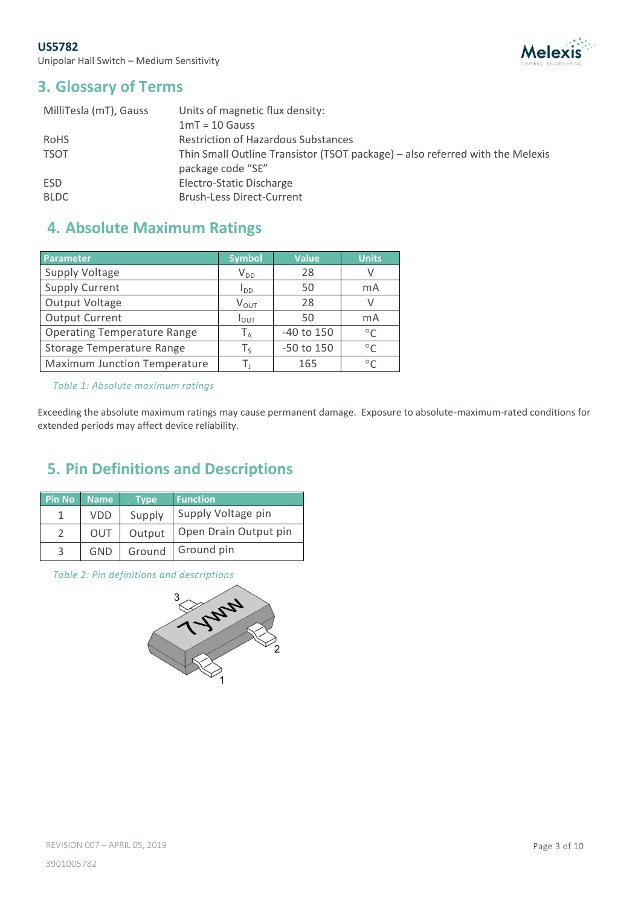

### <span id="page-2-0"></span>**3. Glossary of Terms**

| Units of magnetic flux density:                                               |
|-------------------------------------------------------------------------------|
| $1mT = 10$ Gauss                                                              |
| <b>Restriction of Hazardous Substances</b>                                    |
| Thin Small Outline Transistor (TSOT package) – also referred with the Melexis |
| package code "SE"                                                             |
| Electro-Static Discharge                                                      |
| <b>Brush-Less Direct-Current</b>                                              |
|                                                                               |

# <span id="page-2-1"></span>**4. Absolute Maximum Ratings**

| Parameter                           | <b>Symbol</b>        | <b>Value</b>   | <b>Units</b> |
|-------------------------------------|----------------------|----------------|--------------|
| Supply Voltage                      | $V_{DD}$             | 28             |              |
| <b>Supply Current</b>               | l <sub>dd</sub>      | 50             | mA           |
| Output Voltage                      | $V_{OUT}$            | 28             |              |
| <b>Output Current</b>               | $I_{\text{OUT}}$     | 50             | mA           |
| <b>Operating Temperature Range</b>  | ${\sf T}_\mathsf{A}$ | $-40$ to $150$ | $\circ$      |
| Storage Temperature Range           | Τ、                   | -50 to 150     | $\circ$      |
| <b>Maximum Junction Temperature</b> |                      | 165            | $\circ$      |

*Table 1: Absolute maximum ratings*

Exceeding the absolute maximum ratings may cause permanent damage. Exposure to absolute-maximum-rated conditions for extended periods may affect device reliability.

# <span id="page-2-2"></span>**5. Pin Definitions and Descriptions**

| Pin No | <b>Name</b> | Type <sup>1</sup> | <b>Function</b>       |
|--------|-------------|-------------------|-----------------------|
|        | VDD         | Supply            | Supply Voltage pin    |
|        | OUT         | Output            | Open Drain Output pin |
| 3      | GND         | Ground            | Ground pin            |

*Table 2: Pin definitions and descriptions*

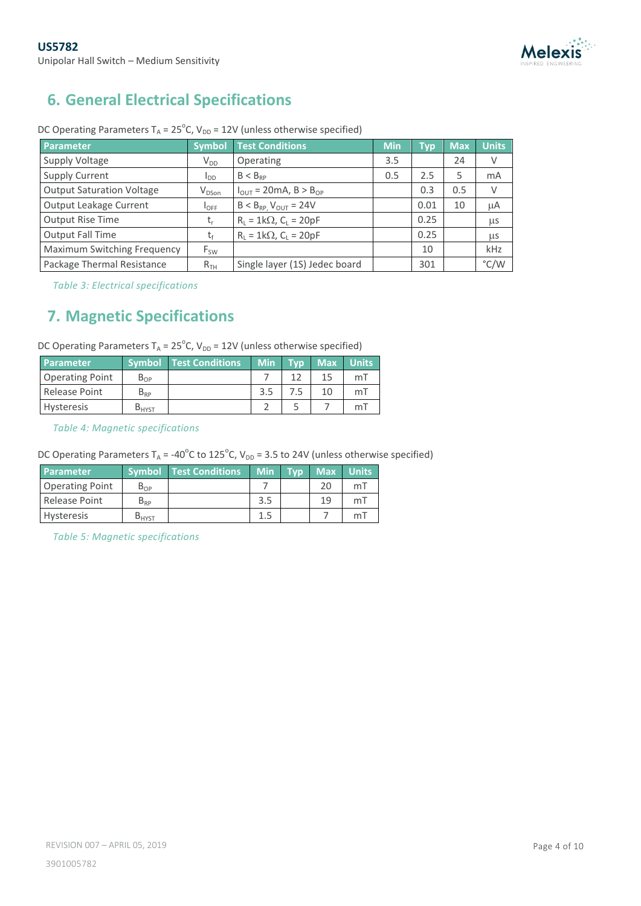

# <span id="page-3-0"></span>**6. General Electrical Specifications**

| Parameter                          | <b>Symbol</b>     | <b>Test Conditions</b>                | <b>Min</b> | <b>Typ</b> | <b>Max</b> | <b>Units</b>  |
|------------------------------------|-------------------|---------------------------------------|------------|------------|------------|---------------|
| Supply Voltage                     | $V_{DD}$          | Operating                             | 3.5        |            | 24         | V             |
| <b>Supply Current</b>              | $I_{DD}$          | $B < B_{RP}$                          | 0.5        | 2.5        | 5          | mA            |
| <b>Output Saturation Voltage</b>   | V <sub>DSon</sub> | $I_{OUT}$ = 20mA, B > B <sub>OP</sub> |            | 0.3        | 0.5        | $\vee$        |
| Output Leakage Current             | $I_{\text{OFF}}$  | $B < B_{RP}$ , $V_{OUT} = 24V$        |            | 0.01       | 10         | μA            |
| Output Rise Time                   | $t_{r}$           | $R_L = 1k\Omega$ , $C_L = 20pF$       |            | 0.25       |            | μs            |
| Output Fall Time                   | t                 | $R_L = 1k\Omega$ , $C_L = 20pF$       |            | 0.25       |            | μs            |
| <b>Maximum Switching Frequency</b> | $F_{SW}$          |                                       |            | 10         |            | kHz           |
| Package Thermal Resistance         | R <sub>TH</sub>   | Single layer (1S) Jedec board         |            | 301        |            | $\degree$ C/W |

DC Operating Parameters  $T_A = 25^{\circ}$ C, V<sub>DD</sub> = 12V (unless otherwise specified)

*Table 3: Electrical specifications*

### <span id="page-3-1"></span>**7. Magnetic Specifications**

| DC Operating Parameters $T_A = 25^{\circ}C$ , $V_{DD} = 12V$ (unless otherwise specified) |          |                                          |           |    |    |
|-------------------------------------------------------------------------------------------|----------|------------------------------------------|-----------|----|----|
| <b>Parameter</b>                                                                          |          | Symbol Test Conditions Min Typ Max Units |           |    |    |
| <b>Operating Point</b>                                                                    | $B_{OP}$ |                                          |           | 15 | mT |
| Release Point                                                                             | $B_{RP}$ |                                          | $3.5$ 7.5 | 10 | mT |

Hysteresis  $B_{HYST}$  2 5 7 mT

*Table 4: Magnetic specifications*

DC Operating Parameters  $T_A = -40^{\circ}$ C to 125 $^{\circ}$ C, V<sub>DD</sub> = 3.5 to 24V (unless otherwise specified)

| <b>Parameter</b>       |                   | <b>Symbol Test Conditions</b> | <b>Min</b> | Tvo | <b>Max</b> | <b>Units</b>   |
|------------------------|-------------------|-------------------------------|------------|-----|------------|----------------|
| <b>Operating Point</b> | $B_{OP}$          |                               |            |     | 20         | m <sub>l</sub> |
| Release Point          | $B_{RP}$          |                               | 3.5        |     | 19         | m <sub>l</sub> |
| <b>Hysteresis</b>      | D <sub>HYST</sub> |                               | 1.5        |     |            | m              |

*Table 5: Magnetic specifications*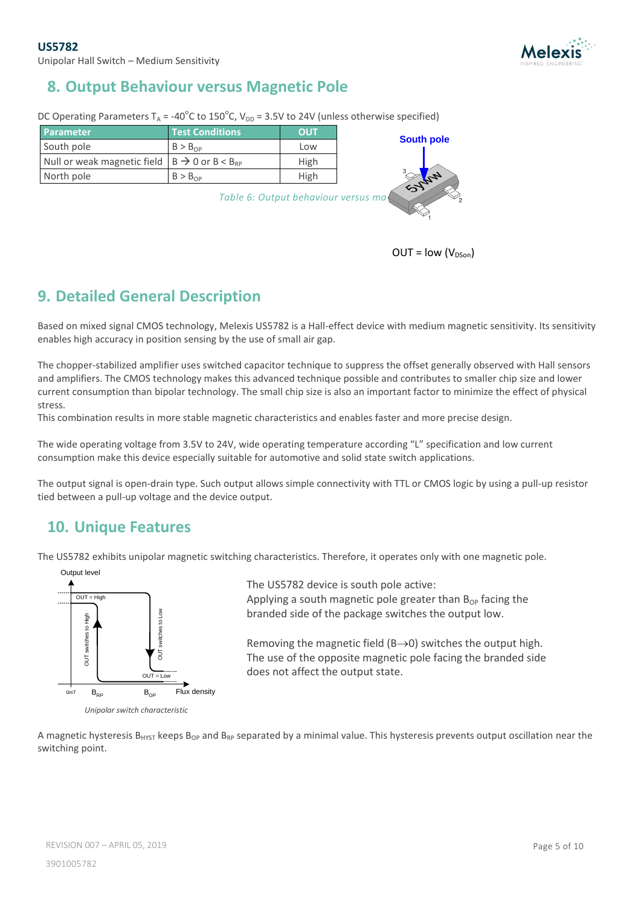

# <span id="page-4-0"></span>**8. Output Behaviour versus Magnetic Pole**

DC Operating Parameters T<sub>A</sub> = -40<sup>o</sup>C to 150<sup>o</sup>C, V<sub>DD</sub> = 3.5V to 24V (unless otherwise specified)

| <b>Parameter</b>                                              | <b>Test Conditions</b>              | <b>OUT</b>  |                   |
|---------------------------------------------------------------|-------------------------------------|-------------|-------------------|
| South pole                                                    | $B > B_{\Omega P}$                  | Low         | <b>South pole</b> |
| Null or weak magnetic field $B \rightarrow 0$ or $B < B_{RP}$ |                                     | <b>High</b> |                   |
| North pole                                                    | $B > B_{OP}$                        | High        | Sylver            |
|                                                               | Table 6: Output behaviour versus ma |             |                   |

 $OUT = low (V<sub>DSon</sub>)$ 

### <span id="page-4-1"></span>**9. Detailed General Description**

Based on mixed signal CMOS technology, Melexis US5782 is a Hall-effect device with medium magnetic sensitivity. Its sensitivity enables high accuracy in position sensing by the use of small air gap.

The chopper-stabilized amplifier uses switched capacitor technique to suppress the offset generally observed with Hall sensors and amplifiers. The CMOS technology makes this advanced technique possible and contributes to smaller chip size and lower current consumption than bipolar technology. The small chip size is also an important factor to minimize the effect of physical stress.

This combination results in more stable magnetic characteristics and enables faster and more precise design.

The wide operating voltage from 3.5V to 24V, wide operating temperature according "L" specification and low current consumption make this device especially suitable for automotive and solid state switch applications.

The output signal is open-drain type. Such output allows simple connectivity with TTL or CMOS logic by using a pull-up resistor tied between a pull-up voltage and the device output.

### <span id="page-4-2"></span>**10. Unique Features**

The US5782 exhibits unipolar magnetic switching characteristics. Therefore, it operates only with one magnetic pole.



*Unipolar switch characteristic*

The US5782 device is south pole active: Applying a south magnetic pole greater than  $B_{OP}$  facing the branded side of the package switches the output low.

Removing the magnetic field ( $B\rightarrow 0$ ) switches the output high. The use of the opposite magnetic pole facing the branded side does not affect the output state.

A magnetic hysteresis B<sub>HYST</sub> keeps B<sub>OP</sub> and B<sub>RP</sub> separated by a minimal value. This hysteresis prevents output oscillation near the switching point.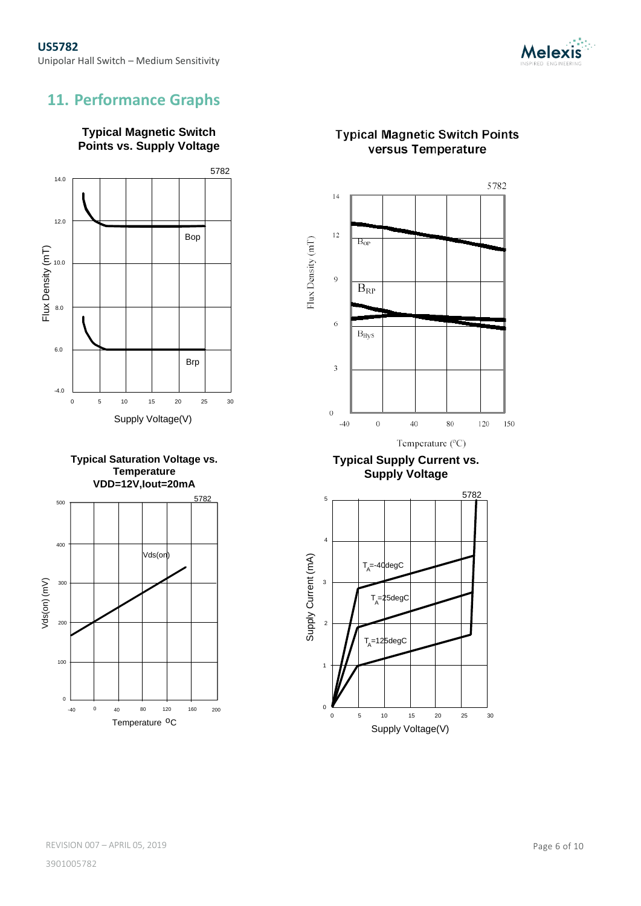

# <span id="page-5-0"></span>**11. Performance Graphs**





**Typical Saturation Voltage vs. Temperature VDD=12V,Iout=20mA**



#### **Typical Magnetic Switch Points** versus Temperature



**Typical Supply Current vs. Supply Voltage**

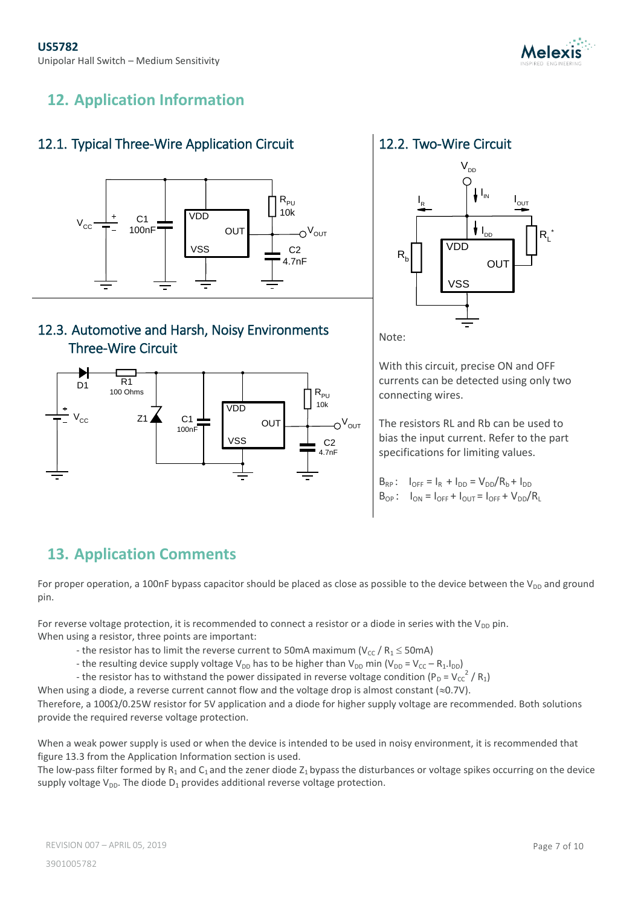

# <span id="page-6-0"></span>**12. Application Information**

#### <span id="page-6-1"></span>12.1. Typical Three-Wire Application Circuit



#### <span id="page-6-3"></span>12.3. Automotive and Harsh, Noisy Environments Three-Wire Circuit



#### <span id="page-6-2"></span>12.2. Two-Wire Circuit



Note:

With this circuit, precise ON and OFF currents can be detected using only two connecting wires.

The resistors RL and Rb can be used to bias the input current. Refer to the part specifications for limiting values.

 $B_{RP}$ :  $I_{OFF} = I_R + I_{DD} = V_{DD}/R_b + I_{DD}$  $B_{OP}$ :  $I_{ON} = I_{OFF} + I_{OUT} = I_{OFF} + V_{DD}/R_L$ 

# <span id="page-6-4"></span>**13. Application Comments**

For proper operation, a 100nF bypass capacitor should be placed as close as possible to the device between the  $V_{DD}$  and ground pin.

For reverse voltage protection, it is recommended to connect a resistor or a diode in series with the  $V_{DD}$  pin. When using a resistor, three points are important:

- the resistor has to limit the reverse current to 50mA maximum ( $V_{cc}$  /  $R_1 \le 50$ mA)
- the resulting device supply voltage  $V_{DD}$  has to be higher than  $V_{DD}$  min ( $V_{DD} = V_{CC} R_1.I_{DD}$ )
- the resistor has to withstand the power dissipated in reverse voltage condition (P<sub>D</sub> = V<sub>CC</sub><sup>2</sup> / R<sub>1</sub>)

When using a diode, a reverse current cannot flow and the voltage drop is almost constant ( $\approx$ 0.7V).

Therefore, a 100 $\Omega$ /0.25W resistor for 5V application and a diode for higher supply voltage are recommended. Both solutions provide the required reverse voltage protection.

When a weak power supply is used or when the device is intended to be used in noisy environment, it is recommended that figure 13.3 from the Application Information section is used.

The low-pass filter formed by  $R_1$  and  $C_1$  and the zener diode  $Z_1$  bypass the disturbances or voltage spikes occurring on the device supply voltage  $V_{DD}$ . The diode  $D_1$  provides additional reverse voltage protection.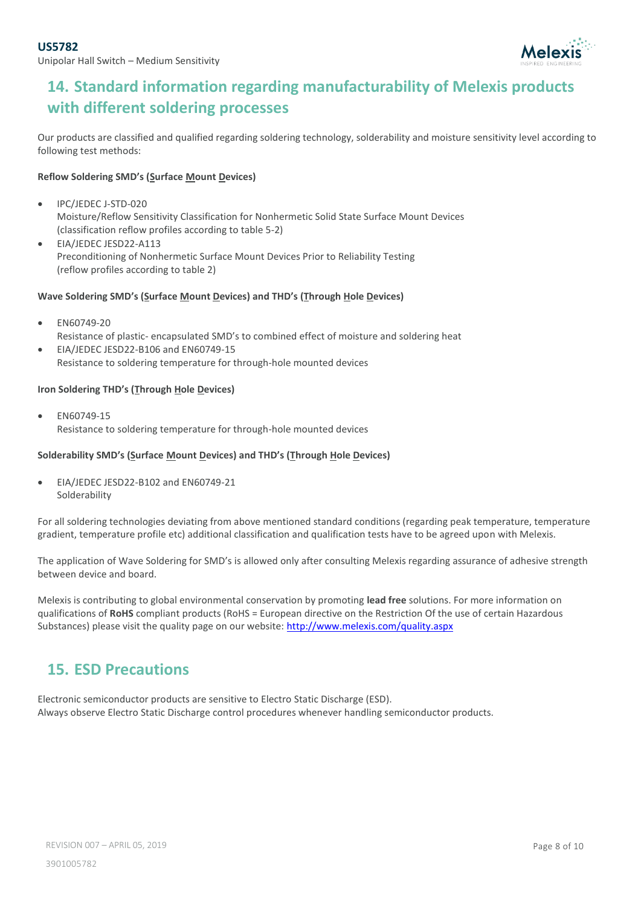Unipolar Hall Switch – Medium Sensitivity



# <span id="page-7-0"></span>**14. Standard information regarding manufacturability of Melexis products with different soldering processes**

Our products are classified and qualified regarding soldering technology, solderability and moisture sensitivity level according to following test methods:

#### **Reflow Soldering SMD's (Surface Mount Devices)**

- IPC/JEDEC J-STD-020 Moisture/Reflow Sensitivity Classification for Nonhermetic Solid State Surface Mount Devices (classification reflow profiles according to table 5-2)
- EIA/JEDEC JESD22-A113 Preconditioning of Nonhermetic Surface Mount Devices Prior to Reliability Testing (reflow profiles according to table 2)

#### **Wave Soldering SMD's (Surface Mount Devices) and THD's (Through Hole Devices)**

- EN60749-20 Resistance of plastic- encapsulated SMD's to combined effect of moisture and soldering heat
- EIA/JEDEC JESD22-B106 and EN60749-15 Resistance to soldering temperature for through-hole mounted devices

#### **Iron Soldering THD's (Through Hole Devices)**

 EN60749-15 Resistance to soldering temperature for through-hole mounted devices

#### **Solderability SMD's (Surface Mount Devices) and THD's (Through Hole Devices)**

 EIA/JEDEC JESD22-B102 and EN60749-21 Solderability

For all soldering technologies deviating from above mentioned standard conditions (regarding peak temperature, temperature gradient, temperature profile etc) additional classification and qualification tests have to be agreed upon with Melexis.

The application of Wave Soldering for SMD's is allowed only after consulting Melexis regarding assurance of adhesive strength between device and board.

Melexis is contributing to global environmental conservation by promoting **lead free** solutions. For more information on qualifications of **RoHS** compliant products (RoHS = European directive on the Restriction Of the use of certain Hazardous Substances) please visit the quality page on our website[: http://www.melexis.com/quality.aspx](http://www.melexis.com/quality.aspxp)

#### <span id="page-7-1"></span>**15. ESD Precautions**

Electronic semiconductor products are sensitive to Electro Static Discharge (ESD). Always observe Electro Static Discharge control procedures whenever handling semiconductor products.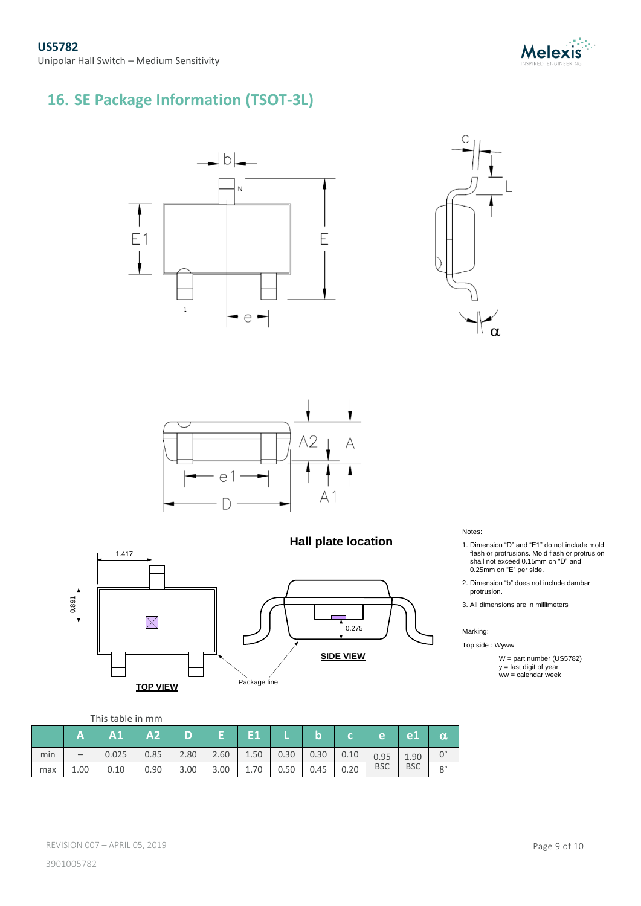

# <span id="page-8-0"></span>**16. SE Package Information (TSOT-3L)**











**Hall plate location**

#### Notes:

- 1. Dimension "D" and "E1" do not include mold flash or protrusions. Mold flash or protrusion shall not exceed 0.15mm on "D" and 0.25mm on "E" per side.
- 2. Dimension "b" does not include dambar protrusion.
- 3. All dimensions are in millimeters

#### Marking:

Top side : Wyww

W = part number (US5782)  $y =$  last digit of year ww = calendar week

#### This table in mm

|     | A    | A1    | A2   | D    |      |      |      | IЭ   |      | e          | e <sub>1</sub> | $\alpha$    |
|-----|------|-------|------|------|------|------|------|------|------|------------|----------------|-------------|
| min |      | 0.025 | 0.85 | 2.80 | 2.60 | 1.50 | 0.30 | 0.30 | 0.10 | 0.95       | 1.90           |             |
| max | 1.00 | 0.10  | 0.90 | 3.00 | 3.00 | 1.70 | 0.50 | 0.45 | 0.20 | <b>BSC</b> | <b>BSC</b>     | $8^{\circ}$ |